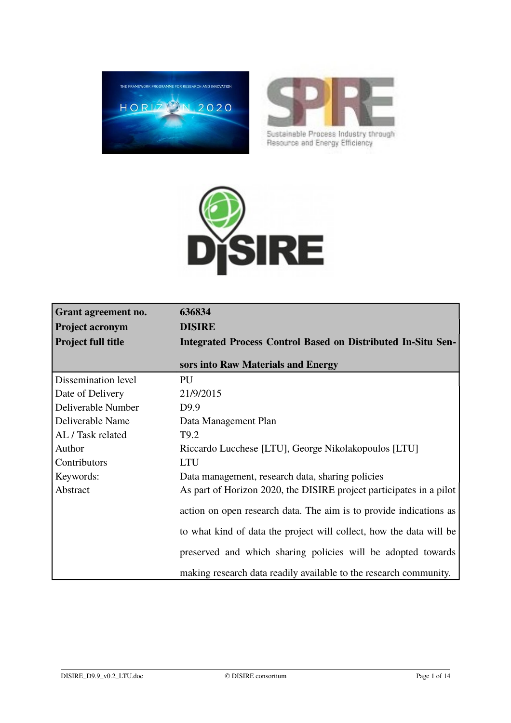



Sustainable Process Industry through<br>Resource and Energy Efficiency



| Grant agreement no.       | 636834                                                              |  |
|---------------------------|---------------------------------------------------------------------|--|
| <b>Project acronym</b>    | <b>DISIRE</b>                                                       |  |
| <b>Project full title</b> | <b>Integrated Process Control Based on Distributed In-Situ Sen-</b> |  |
|                           | sors into Raw Materials and Energy                                  |  |
| Dissemination level       | <b>PU</b>                                                           |  |
| Date of Delivery          | 21/9/2015                                                           |  |
| Deliverable Number        | D <sub>9.9</sub>                                                    |  |
| Deliverable Name          | Data Management Plan                                                |  |
| AL / Task related         | T <sub>9.2</sub>                                                    |  |
| Author                    | Riccardo Lucchese [LTU], George Nikolakopoulos [LTU]                |  |
| Contributors              | <b>LTU</b>                                                          |  |
| Keywords:                 | Data management, research data, sharing policies                    |  |
| Abstract                  | As part of Horizon 2020, the DISIRE project participates in a pilot |  |
|                           | action on open research data. The aim is to provide indications as  |  |
|                           | to what kind of data the project will collect, how the data will be |  |
|                           | preserved and which sharing policies will be adopted towards        |  |
|                           | making research data readily available to the research community.   |  |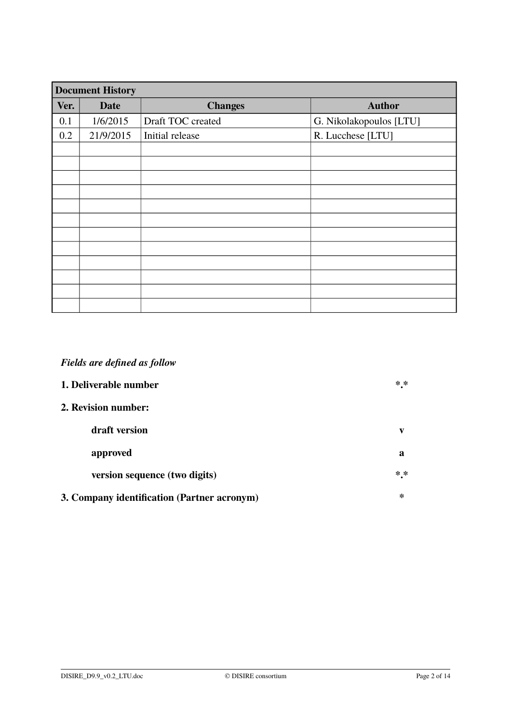| <b>Document History</b> |             |                   |                         |
|-------------------------|-------------|-------------------|-------------------------|
| Ver.                    | <b>Date</b> | <b>Changes</b>    | <b>Author</b>           |
| 0.1                     | 1/6/2015    | Draft TOC created | G. Nikolakopoulos [LTU] |
| 0.2                     | 21/9/2015   | Initial release   | R. Lucchese [LTU]       |
|                         |             |                   |                         |
|                         |             |                   |                         |
|                         |             |                   |                         |
|                         |             |                   |                         |
|                         |             |                   |                         |
|                         |             |                   |                         |
|                         |             |                   |                         |
|                         |             |                   |                         |
|                         |             |                   |                         |
|                         |             |                   |                         |
|                         |             |                   |                         |
|                         |             |                   |                         |

# *Fields are defined as follow*

| 1. Deliverable number                       | $* *$      |
|---------------------------------------------|------------|
| 2. Revision number:                         |            |
| draft version                               | V          |
| approved                                    | a          |
| version sequence (two digits)               | $\ast\ast$ |
| 3. Company identification (Partner acronym) | ∗          |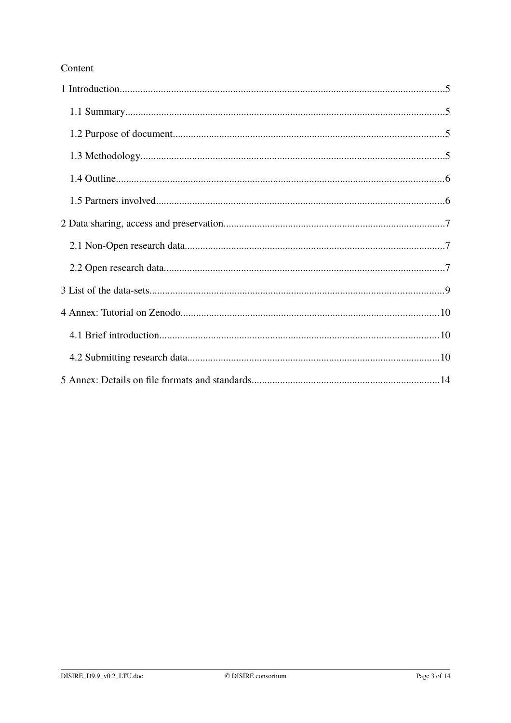#### Content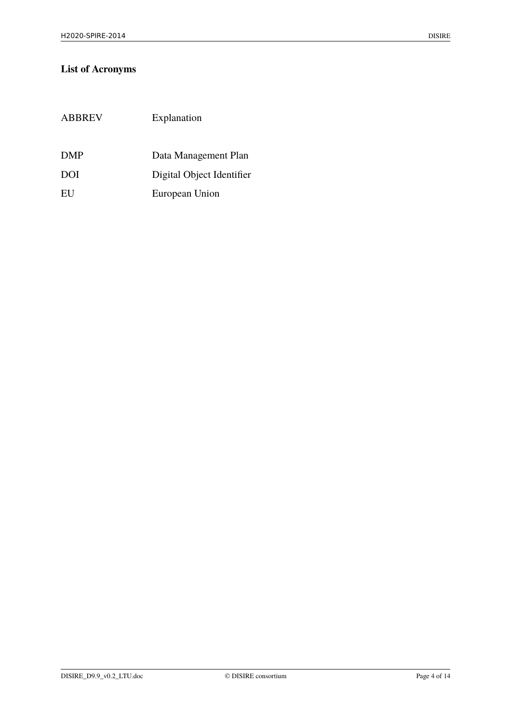### **List of Acronyms**

| <b>ABBREV</b> | Explanation               |
|---------------|---------------------------|
|               |                           |
| DMP           | Data Management Plan      |
| <b>DOI</b>    | Digital Object Identifier |
| EU            | European Union            |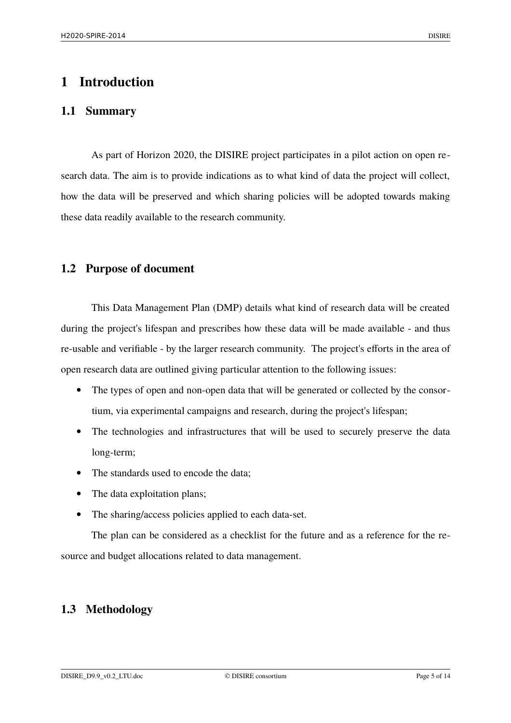# <span id="page-4-3"></span>**1 Introduction**

#### <span id="page-4-2"></span>**1.1 Summary**

As part of Horizon 2020, the DISIRE project participates in a pilot action on open research data. The aim is to provide indications as to what kind of data the project will collect, how the data will be preserved and which sharing policies will be adopted towards making these data readily available to the research community.

#### <span id="page-4-1"></span>**1.2 Purpose of document**

This Data Management Plan (DMP) details what kind of research data will be created during the project's lifespan and prescribes how these data will be made available - and thus re-usable and verifiable - by the larger research community. The project's efforts in the area of open research data are outlined giving particular attention to the following issues:

- The types of open and non-open data that will be generated or collected by the consortium, via experimental campaigns and research, during the project's lifespan;
- The technologies and infrastructures that will be used to securely preserve the data long-term;
- The standards used to encode the data;
- The data exploitation plans;
- The sharing/access policies applied to each data-set.

The plan can be considered as a checklist for the future and as a reference for the resource and budget allocations related to data management.

## <span id="page-4-0"></span>**1.3 Methodology**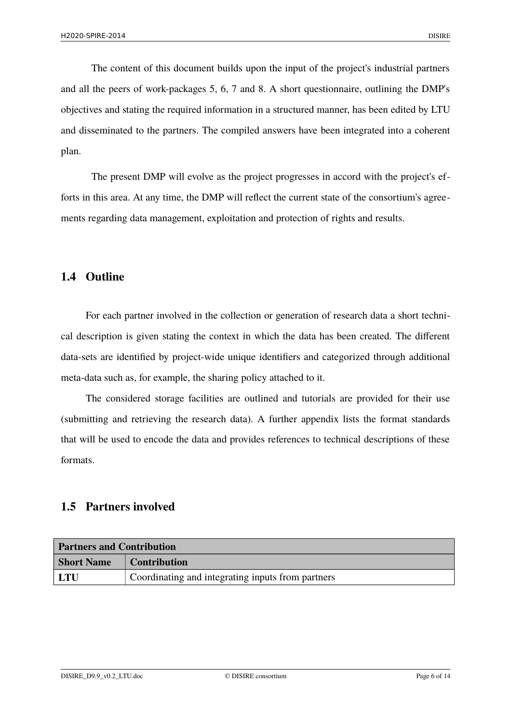The content of this document builds upon the input of the project's industrial partners and all the peers of work-packages 5, 6, 7 and 8. A short questionnaire, outlining the DMP's objectives and stating the required information in a structured manner, has been edited by LTU and disseminated to the partners. The compiled answers have been integrated into a coherent plan.

The present DMP will evolve as the project progresses in accord with the project's efforts in this area. At any time, the DMP will reflect the current state of the consortium's agreements regarding data management, exploitation and protection of rights and results.

#### <span id="page-5-1"></span>**1.4 Outline**

For each partner involved in the collection or generation of research data a short technical description is given stating the context in which the data has been created. The different data-sets are identified by project-wide unique identifiers and categorized through additional meta-data such as, for example, the sharing policy attached to it.

The considered storage facilities are outlined and tutorials are provided for their use (submitting and retrieving the research data). A further appendix lists the format standards that will be used to encode the data and provides references to technical descriptions of these formats.

#### <span id="page-5-0"></span>**1.5 Partners involved**

| <b>Partners and Contribution</b> |                                                   |  |
|----------------------------------|---------------------------------------------------|--|
| <b>Short Name</b>                | Contribution                                      |  |
| <b>LTU</b>                       | Coordinating and integrating inputs from partners |  |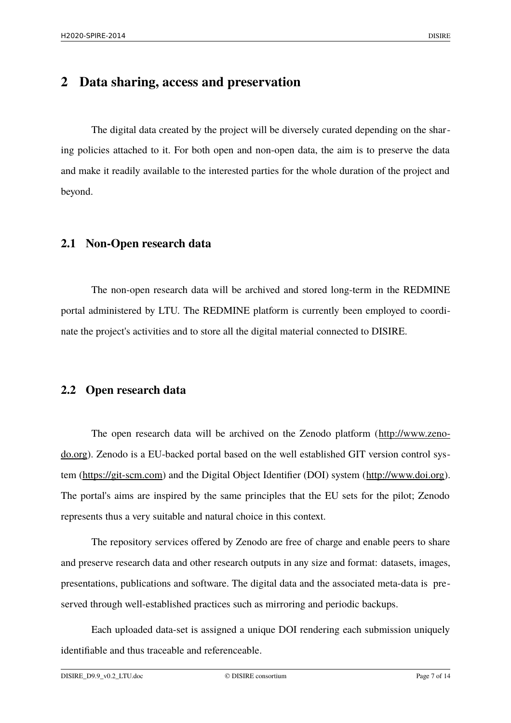# <span id="page-6-2"></span>**2 Data sharing, access and preservation**

The digital data created by the project will be diversely curated depending on the sharing policies attached to it. For both open and non-open data, the aim is to preserve the data and make it readily available to the interested parties for the whole duration of the project and beyond.

## <span id="page-6-1"></span>**2.1 Non-Open research data**

The non-open research data will be archived and stored long-term in the REDMINE portal administered by LTU. The REDMINE platform is currently been employed to coordinate the project's activities and to store all the digital material connected to DISIRE.

## <span id="page-6-0"></span>**2.2 Open research data**

The open research data will be archived on the Zenodo platform [\(http://www.zeno](http://www.zenodo.org/)[do.org\)](http://www.zenodo.org/). Zenodo is a EU-backed portal based on the well established GIT version control system [\(https://git-scm.com\)](https://git-scm.com/) and the Digital Object Identifier (DOI) system [\(http://www.doi.org\)](http://www.doi.org/). The portal's aims are inspired by the same principles that the EU sets for the pilot; Zenodo represents thus a very suitable and natural choice in this context.

The repository services offered by Zenodo are free of charge and enable peers to share and preserve research data and other research outputs in any size and format: datasets, images, presentations, publications and software. The digital data and the associated meta-data is preserved through well-established practices such as mirroring and periodic backups.

Each uploaded data-set is assigned a unique DOI rendering each submission uniquely identifiable and thus traceable and referenceable.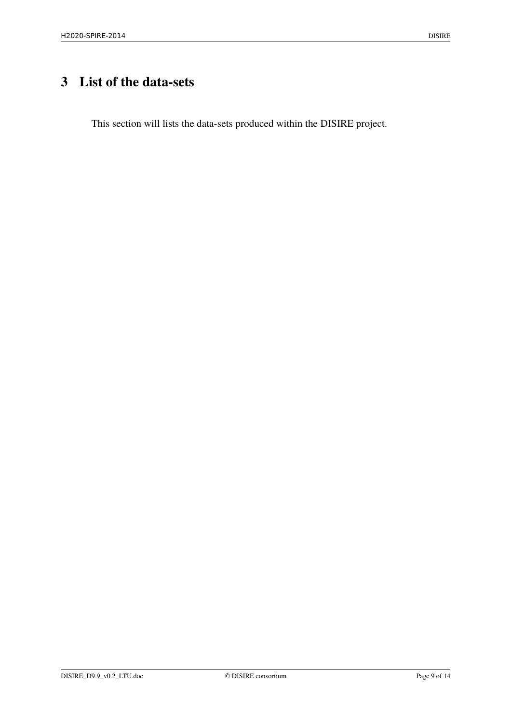# <span id="page-8-0"></span>**3 List of the data-sets**

This section will lists the data-sets produced within the DISIRE project.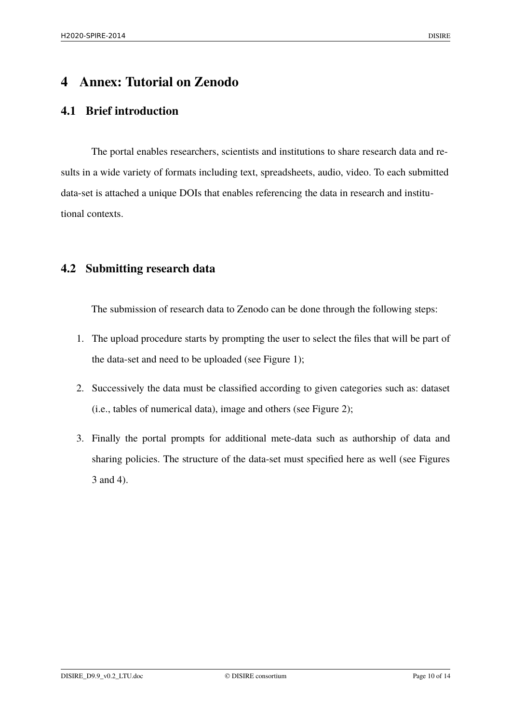# <span id="page-9-2"></span>**4 Annex: Tutorial on Zenodo**

## <span id="page-9-1"></span>**4.1 Brief introduction**

The portal enables researchers, scientists and institutions to share research data and results in a wide variety of formats including text, spreadsheets, audio, video. To each submitted data-set is attached a unique DOIs that enables referencing the data in research and institutional contexts.

## <span id="page-9-0"></span>**4.2 Submitting research data**

The submission of research data to Zenodo can be done through the following steps:

- 1. The upload procedure starts by prompting the user to select the files that will be part of the data-set and need to be uploaded (see Figure 1);
- 2. Successively the data must be classified according to given categories such as: dataset (i.e., tables of numerical data), image and others (see Figure 2);
- 3. Finally the portal prompts for additional mete-data such as authorship of data and sharing policies. The structure of the data-set must specified here as well (see Figures 3 and 4).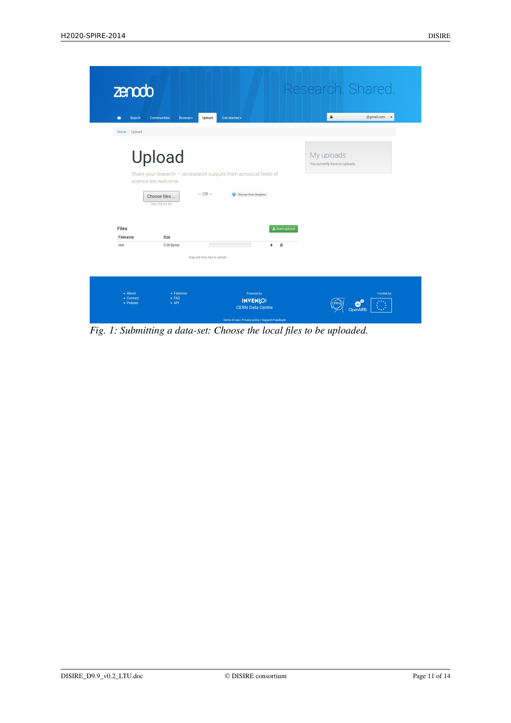| zenodo<br>◛<br>Search | <b>Communities</b><br>Browse-<br>Upload    | Get started -                                                        | Research. Shared.<br>$\Delta$<br>@gmail.com $\bullet$ |
|-----------------------|--------------------------------------------|----------------------------------------------------------------------|-------------------------------------------------------|
| Home / Upload         |                                            |                                                                      |                                                       |
|                       | Upload                                     |                                                                      | My uploads<br>You currently have no uploads.          |
|                       | science are welcome.                       | Share your research - all research outputs from across all fields of |                                                       |
|                       | $-OR-$<br>Choose files<br>Max 2GB per file | Choose from Dropbox                                                  |                                                       |
| <b>Files</b>          |                                            | <b>≛</b> Start upload                                                |                                                       |
| Filename              | <b>Size</b>                                |                                                                      |                                                       |
| test                  | 5.00 Bytes                                 | ٠<br>û                                                               |                                                       |
|                       | Drag and drop files to upload              |                                                                      |                                                       |
|                       |                                            |                                                                      |                                                       |
| • About<br>• Contact  | • Features<br>$-FAQ$                       | Powered by:                                                          | Funded by:                                            |
| • Policies            | $\bullet$ API                              | <b>INVENIO)</b><br><b>CERN Data Centre</b>                           |                                                       |
|                       |                                            | Terms of use   Privacy policy   Support/Feedback                     |                                                       |

*Fig. 1: Submitting a data-set: Choose the local files to be uploaded.*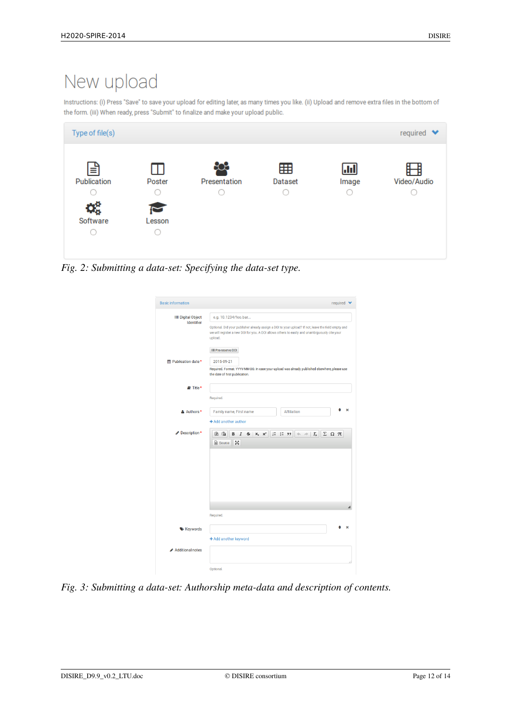# New upload

Instructions: (i) Press "Save" to save your upload for editing later, as many times you like. (ii) Upload and remove extra files in the bottom of the form. (iii) When ready, press "Submit" to finalize and make your upload public.

| Type of file(s)           |                                                                 |                      |                     |                                     | required $\blacktriangleright$ |
|---------------------------|-----------------------------------------------------------------|----------------------|---------------------|-------------------------------------|--------------------------------|
| 目<br>Publication          | Poster                                                          | မ္လာ<br>Presentation | 囲<br><b>Dataset</b> | $\lfloor \text{m} \rfloor$<br>Image | 田<br>Video/Audio               |
| O<br>Q\$<br>Software<br>O | O<br>ے<br>Lesson<br>$\left(\begin{array}{c} \end{array}\right)$ | O                    | O                   |                                     |                                |

*Fig. 2: Submitting a data-set: Specifying the data-set type.*

| <b>Basic information</b>                       | required $\blacktriangleright$                                                                                                                                                                                                          |
|------------------------------------------------|-----------------------------------------------------------------------------------------------------------------------------------------------------------------------------------------------------------------------------------------|
| <b>III</b> Digital Object<br><b>Identifier</b> | e.g. 10.1234/foo.bar<br>Optional. Did your publisher already assign a DOI to your upload? If not, leave the field empty and<br>we will register a new DOI for you. A DOI allows others to easily and unambiguously cite your<br>upload. |
| <b>#</b> Publication date *                    | <b>IIII</b> Pre-reserve DOI<br>2015-09-21<br>Required. Format: YYYY-MM-DD. In case your upload was already published elsewhere, please use<br>the date of first publication.                                                            |
| $\blacksquare$ Title *                         |                                                                                                                                                                                                                                         |
| & Authors*                                     | Required.<br>٠<br>×<br><b>Affiliation</b><br>Family name, First name<br>+ Add another author                                                                                                                                            |
| Description*                                   | $\Sigma$ Ω $\pi$<br>G<br>$I \cong X_e X_e^2$<br>$\frac{1}{6}$<br>$:= 99$<br>$I_{x}$<br>G<br>B<br>$\leftarrow$<br>$\rightarrow$<br>$\frac{58}{15}$<br>o Source                                                                           |
|                                                |                                                                                                                                                                                                                                         |
|                                                |                                                                                                                                                                                                                                         |
|                                                | Required.                                                                                                                                                                                                                               |
| <b>Xeywords</b>                                |                                                                                                                                                                                                                                         |
| Additional notes                               | + Add another keyword                                                                                                                                                                                                                   |
|                                                | Optional.                                                                                                                                                                                                                               |

*Fig. 3: Submitting a data-set: Authorship meta-data and description of contents.*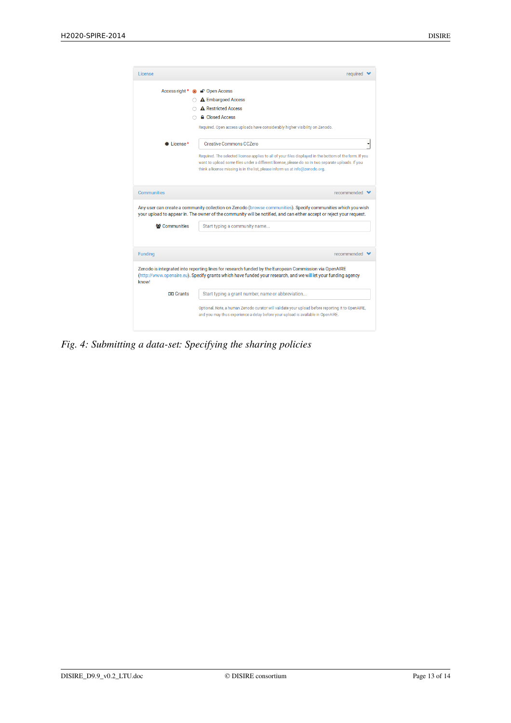| License             | required                                                                                                                                                                                                                                                                                     |
|---------------------|----------------------------------------------------------------------------------------------------------------------------------------------------------------------------------------------------------------------------------------------------------------------------------------------|
|                     | Access right * <b>@ P</b> Open Access                                                                                                                                                                                                                                                        |
|                     | <b>A</b> Embargoed Access                                                                                                                                                                                                                                                                    |
|                     | <b>A</b> Restricted Access                                                                                                                                                                                                                                                                   |
|                     | <b>A</b> Closed Access                                                                                                                                                                                                                                                                       |
|                     | Required. Open access uploads have considerably higher visibility on Zenodo.                                                                                                                                                                                                                 |
| License*            | <b>Creative Commons CCZero</b>                                                                                                                                                                                                                                                               |
|                     | Required. The selected license applies to all of your files displayed in the bottom of the form. If you<br>want to upload some files under a different license, please do so in two separate uploads. If you<br>think a license missing is in the list, please inform us at info@zenodo.org. |
| <b>Communities</b>  | recommended $\blacktriangleright$                                                                                                                                                                                                                                                            |
|                     | Any user can create a community collection on Zenodo (browse communities). Specify communities which you wish<br>your upload to appear in. The owner of the community will be notified, and can either accept or reject your request.                                                        |
| <b>※Communities</b> | Start typing a community name                                                                                                                                                                                                                                                                |
| <b>Funding</b>      | recommended                                                                                                                                                                                                                                                                                  |
| knowl               | Zenodo is integrated into reporting lines for research funded by the European Commission via OpenAIRE<br>(http://www.openaire.eu). Specify grants which have funded your research, and we will let your funding agency                                                                       |
| <b>D</b> Grants     | Start typing a grant number, name or abbreviation                                                                                                                                                                                                                                            |
|                     | Optional. Note, a human Zenodo curator will validate your upload before reporting it to OpenAIRE,<br>and you may thus experience a delay before your upload is available in OpenAIRE.                                                                                                        |

*Fig. 4: Submitting a data-set: Specifying the sharing policies*